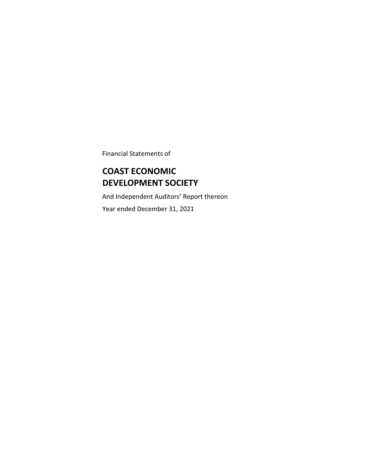Financial Statements of

# **COAST ECONOMIC DEVELOPMENT SOCIETY**

And Independent Auditors' Report thereon Year ended December 31, 2021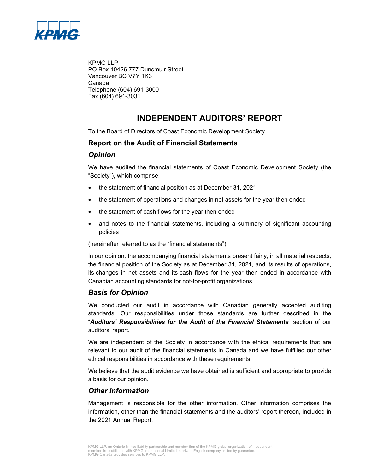

KPMG LLP PO Box 10426 777 Dunsmuir Street Vancouver BC V7Y 1K3 Canada Telephone (604) 691-3000 Fax (604) 691-3031

## **INDEPENDENT AUDITORS' REPORT**

To the Board of Directors of Coast Economic Development Society

### **Report on the Audit of Financial Statements**

#### *Opinion*

We have audited the financial statements of Coast Economic Development Society (the "Society"), which comprise:

- the statement of financial position as at December 31, 2021
- the statement of operations and changes in net assets for the year then ended
- the statement of cash flows for the year then ended
- and notes to the financial statements, including a summary of significant accounting policies

(hereinafter referred to as the "financial statements").

In our opinion, the accompanying financial statements present fairly, in all material respects, the financial position of the Society as at December 31, 2021, and its results of operations, its changes in net assets and its cash flows for the year then ended in accordance with Canadian accounting standards for not-for-profit organizations.

### *Basis for Opinion*

We conducted our audit in accordance with Canadian generally accepted auditing standards. Our responsibilities under those standards are further described in the "*Auditors' Responsibilities for the Audit of the Financial Statements*" section of our auditors' report.

We are independent of the Society in accordance with the ethical requirements that are relevant to our audit of the financial statements in Canada and we have fulfilled our other ethical responsibilities in accordance with these requirements.

We believe that the audit evidence we have obtained is sufficient and appropriate to provide a basis for our opinion.

### *Other Information*

Management is responsible for the other information. Other information comprises the information, other than the financial statements and the auditors' report thereon, included in the 2021 Annual Report.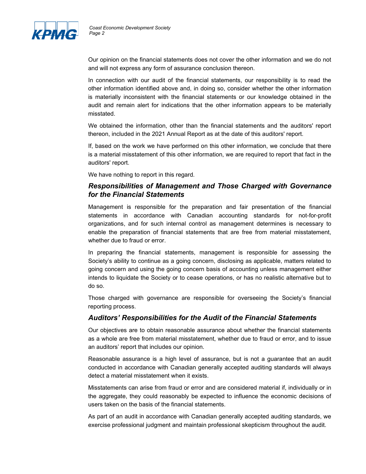

Our opinion on the financial statements does not cover the other information and we do not and will not express any form of assurance conclusion thereon.

In connection with our audit of the financial statements, our responsibility is to read the other information identified above and, in doing so, consider whether the other information is materially inconsistent with the financial statements or our knowledge obtained in the audit and remain alert for indications that the other information appears to be materially misstated.

We obtained the information, other than the financial statements and the auditors' report thereon, included in the 2021 Annual Report as at the date of this auditors' report.

If, based on the work we have performed on this other information, we conclude that there is a material misstatement of this other information, we are required to report that fact in the auditors' report.

We have nothing to report in this regard.

### *Responsibilities of Management and Those Charged with Governance for the Financial Statements*

Management is responsible for the preparation and fair presentation of the financial statements in accordance with Canadian accounting standards for not-for-profit organizations, and for such internal control as management determines is necessary to enable the preparation of financial statements that are free from material misstatement, whether due to fraud or error.

In preparing the financial statements, management is responsible for assessing the Society's ability to continue as a going concern, disclosing as applicable, matters related to going concern and using the going concern basis of accounting unless management either intends to liquidate the Society or to cease operations, or has no realistic alternative but to do so.

Those charged with governance are responsible for overseeing the Society's financial reporting process.

### *Auditors' Responsibilities for the Audit of the Financial Statements*

Our objectives are to obtain reasonable assurance about whether the financial statements as a whole are free from material misstatement, whether due to fraud or error, and to issue an auditors' report that includes our opinion.

Reasonable assurance is a high level of assurance, but is not a guarantee that an audit conducted in accordance with Canadian generally accepted auditing standards will always detect a material misstatement when it exists.

Misstatements can arise from fraud or error and are considered material if, individually or in the aggregate, they could reasonably be expected to influence the economic decisions of users taken on the basis of the financial statements.

As part of an audit in accordance with Canadian generally accepted auditing standards, we exercise professional judgment and maintain professional skepticism throughout the audit.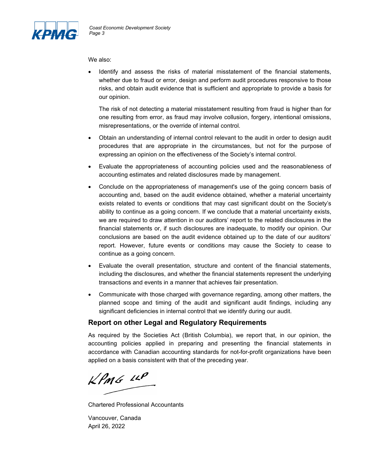

We also:

• Identify and assess the risks of material misstatement of the financial statements, whether due to fraud or error, design and perform audit procedures responsive to those risks, and obtain audit evidence that is sufficient and appropriate to provide a basis for our opinion.

The risk of not detecting a material misstatement resulting from fraud is higher than for one resulting from error, as fraud may involve collusion, forgery, intentional omissions, misrepresentations, or the override of internal control.

- Obtain an understanding of internal control relevant to the audit in order to design audit procedures that are appropriate in the circumstances, but not for the purpose of expressing an opinion on the effectiveness of the Society's internal control.
- Evaluate the appropriateness of accounting policies used and the reasonableness of accounting estimates and related disclosures made by management.
- Conclude on the appropriateness of management's use of the going concern basis of accounting and, based on the audit evidence obtained, whether a material uncertainty exists related to events or conditions that may cast significant doubt on the Society's ability to continue as a going concern. If we conclude that a material uncertainty exists, we are required to draw attention in our auditors' report to the related disclosures in the financial statements or, if such disclosures are inadequate, to modify our opinion. Our conclusions are based on the audit evidence obtained up to the date of our auditors' report. However, future events or conditions may cause the Society to cease to continue as a going concern.
- Evaluate the overall presentation, structure and content of the financial statements, including the disclosures, and whether the financial statements represent the underlying transactions and events in a manner that achieves fair presentation.
- Communicate with those charged with governance regarding, among other matters, the planned scope and timing of the audit and significant audit findings, including any significant deficiencies in internal control that we identify during our audit.

### **Report on other Legal and Regulatory Requirements**

As required by the Societies Act (British Columbia), we report that, in our opinion, the accounting policies applied in preparing and presenting the financial statements in accordance with Canadian accounting standards for not-for-profit organizations have been applied on a basis consistent with that of the preceding year.

 $kPMS$   $\mu P$ 

Chartered Professional Accountants

Vancouver, Canada April 26, 2022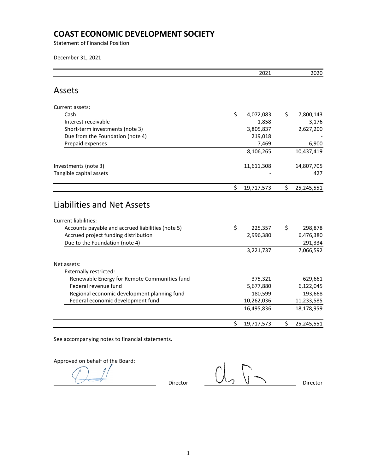Statement of Financial Position

December 31, 2021

|                                                                                                                                                        | 2021                       | 2020                       |
|--------------------------------------------------------------------------------------------------------------------------------------------------------|----------------------------|----------------------------|
| Assets                                                                                                                                                 |                            |                            |
| Current assets:                                                                                                                                        |                            |                            |
| Cash                                                                                                                                                   | \$<br>4,072,083            | \$<br>7,800,143            |
| Interest receivable                                                                                                                                    | 1,858                      | 3,176                      |
| Short-term investments (note 3)                                                                                                                        | 3,805,837                  | 2,627,200                  |
| Due from the Foundation (note 4)                                                                                                                       | 219,018                    |                            |
| Prepaid expenses                                                                                                                                       | 7,469                      | 6,900                      |
|                                                                                                                                                        | 8,106,265                  | 10,437,419                 |
| Investments (note 3)                                                                                                                                   | 11,611,308                 | 14,807,705                 |
| Tangible capital assets                                                                                                                                |                            | 427                        |
|                                                                                                                                                        |                            |                            |
|                                                                                                                                                        | \$<br>19,717,573           | \$<br>25,245,551           |
| <b>Liabilities and Net Assets</b><br>Current liabilities:<br>Accounts payable and accrued liabilities (note 5)<br>Accrued project funding distribution | \$<br>225,357<br>2,996,380 | \$<br>298,878<br>6,476,380 |
| Due to the Foundation (note 4)                                                                                                                         | 3,221,737                  | 291,334<br>7,066,592       |
| Net assets:                                                                                                                                            |                            |                            |
| <b>Externally restricted:</b>                                                                                                                          |                            |                            |
| Renewable Energy for Remote Communities fund                                                                                                           | 375,321                    | 629,661                    |
| Federal revenue fund                                                                                                                                   | 5,677,880                  | 6,122,045                  |
| Regional economic development planning fund                                                                                                            | 180,599                    | 193,668                    |
| Federal economic development fund                                                                                                                      | 10,262,036                 | 11,233,585                 |
|                                                                                                                                                        | 16,495,836                 | 18,178,959                 |

See accompanying notes to financial statements.

Approved on behalf of the Board:

 $Director$   $\overbrace{\bigcup_{\mathcal{D}}\bigcup_{\mathcal{D}}\bigcup_{\mathcal{D}}\bigcup_{\mathcal{D}}$  Director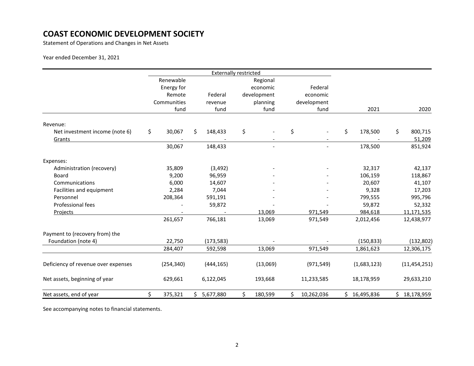Statement of Operations and Changes in Net Assets

Year ended December 31, 2021

|                                     |               |    | <b>Externally restricted</b> |          |                          |                          |    |              |                |
|-------------------------------------|---------------|----|------------------------------|----------|--------------------------|--------------------------|----|--------------|----------------|
|                                     | Renewable     |    |                              |          | Regional                 |                          |    |              |                |
|                                     | Energy for    |    |                              |          | economic                 | Federal                  |    |              |                |
|                                     | Remote        |    | Federal                      |          | development              | economic                 |    |              |                |
|                                     | Communities   |    | revenue                      | planning |                          | development              |    |              |                |
|                                     | fund          |    | fund                         |          | fund                     | fund                     |    | 2021         | 2020           |
| Revenue:                            |               |    |                              |          |                          |                          |    |              |                |
| Net investment income (note 6)      | \$<br>30,067  | Ś. | 148,433                      | \$       |                          | \$                       | \$ | 178,500      | \$<br>800,715  |
| Grants                              |               |    |                              |          |                          |                          |    |              | 51,209         |
|                                     | 30,067        |    | 148,433                      |          | $\overline{\phantom{a}}$ | $\overline{\phantom{a}}$ |    | 178,500      | 851,924        |
| Expenses:                           |               |    |                              |          |                          |                          |    |              |                |
| Administration (recovery)           | 35,809        |    | (3, 492)                     |          |                          |                          |    | 32,317       | 42,137         |
| <b>Board</b>                        | 9,200         |    | 96,959                       |          |                          |                          |    | 106,159      | 118,867        |
| Communications                      | 6,000         |    | 14,607                       |          |                          |                          |    | 20,607       | 41,107         |
| Facilities and equipment            | 2,284         |    | 7,044                        |          |                          |                          |    | 9,328        | 17,203         |
| Personnel                           | 208,364       |    | 591,191                      |          |                          |                          |    | 799,555      | 995,796        |
| Professional fees                   |               |    | 59,872                       |          |                          |                          |    | 59,872       | 52,332         |
| Projects                            |               |    |                              |          | 13,069                   | 971,549                  |    | 984,618      | 11,171,535     |
|                                     | 261,657       |    | 766,181                      |          | 13,069                   | 971,549                  |    | 2,012,456    | 12,438,977     |
| Payment to (recovery from) the      |               |    |                              |          |                          |                          |    |              |                |
| Foundation (note 4)                 | 22,750        |    | (173, 583)                   |          |                          |                          |    | (150, 833)   | (132, 802)     |
|                                     | 284,407       |    | 592,598                      |          | 13,069                   | 971,549                  |    | 1,861,623    | 12,306,175     |
| Deficiency of revenue over expenses | (254, 340)    |    | (444, 165)                   |          | (13,069)                 | (971, 549)               |    | (1,683,123)  | (11, 454, 251) |
| Net assets, beginning of year       | 629,661       |    | 6,122,045                    |          | 193,668                  | 11,233,585               |    | 18,178,959   | 29,633,210     |
| Net assets, end of year             | \$<br>375,321 | Ś. | 5,677,880                    | \$       | 180,599                  | \$<br>10,262,036         |    | \$16,495,836 | \$18,178,959   |

See accompanying notes to financial statements.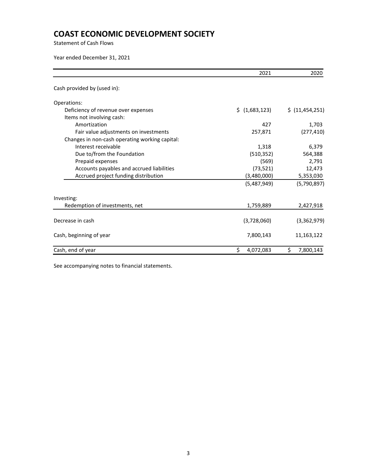Statement of Cash Flows

Year ended December 31, 2021

|                                                | 2021            | 2020              |
|------------------------------------------------|-----------------|-------------------|
| Cash provided by (used in):                    |                 |                   |
| Operations:                                    |                 |                   |
| Deficiency of revenue over expenses            | \$(1,683,123)   | \$ (11, 454, 251) |
| Items not involving cash:                      |                 |                   |
| Amortization                                   | 427             | 1,703             |
| Fair value adjustments on investments          | 257,871         | (277, 410)        |
| Changes in non-cash operating working capital: |                 |                   |
| Interest receivable                            | 1,318           | 6,379             |
| Due to/from the Foundation                     | (510, 352)      | 564,388           |
| Prepaid expenses                               | (569)           | 2,791             |
| Accounts payables and accrued liabilities      | (73, 521)       | 12,473            |
| Accrued project funding distribution           | (3,480,000)     | 5,353,030         |
|                                                | (5,487,949)     | (5,790,897)       |
| Investing:                                     |                 |                   |
| Redemption of investments, net                 | 1,759,889       | 2,427,918         |
| Decrease in cash                               | (3,728,060)     | (3,362,979)       |
| Cash, beginning of year                        | 7,800,143       | 11,163,122        |
| Cash, end of year                              | \$<br>4,072,083 | \$<br>7,800,143   |

See accompanying notes to financial statements.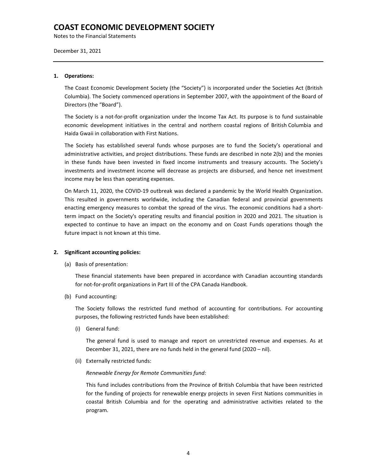Notes to the Financial Statements

December 31, 2021

#### **1. Operations:**

The Coast Economic Development Society (the "Society") is incorporated under the Societies Act (British Columbia). The Society commenced operations in September 2007, with the appointment of the Board of Directors (the "Board").

The Society is a not-for-profit organization under the Income Tax Act. Its purpose is to fund sustainable economic development initiatives in the central and northern coastal regions of British Columbia and Haida Gwaii in collaboration with First Nations.

The Society has established several funds whose purposes are to fund the Society's operational and administrative activities, and project distributions. These funds are described in note 2(b) and the monies in these funds have been invested in fixed income instruments and treasury accounts. The Society's investments and investment income will decrease as projects are disbursed, and hence net investment income may be less than operating expenses.

On March 11, 2020, the COVID-19 outbreak was declared a pandemic by the World Health Organization. This resulted in governments worldwide, including the Canadian federal and provincial governments enacting emergency measures to combat the spread of the virus. The economic conditions had a shortterm impact on the Society's operating results and financial position in 2020 and 2021. The situation is expected to continue to have an impact on the economy and on Coast Funds operations though the future impact is not known at this time.

#### **2. Significant accounting policies:**

(a) Basis of presentation:

These financial statements have been prepared in accordance with Canadian accounting standards for not-for-profit organizations in Part III of the CPA Canada Handbook.

(b) Fund accounting:

The Society follows the restricted fund method of accounting for contributions. For accounting purposes, the following restricted funds have been established:

(i) General fund:

The general fund is used to manage and report on unrestricted revenue and expenses. As at December 31, 2021, there are no funds held in the general fund (2020 – nil).

(ii) Externally restricted funds:

#### *Renewable Energy for Remote Communities fund:*

This fund includes contributions from the Province of British Columbia that have been restricted for the funding of projects for renewable energy projects in seven First Nations communities in coastal British Columbia and for the operating and administrative activities related to the program.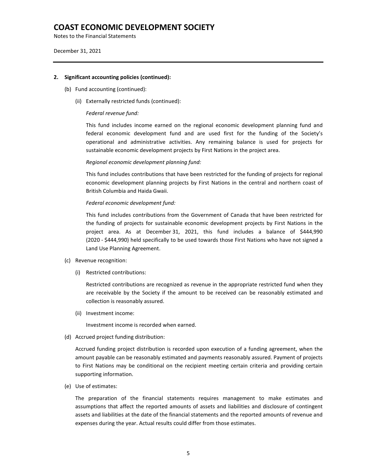Notes to the Financial Statements

December 31, 2021

#### **2. Significant accounting policies (continued):**

- (b) Fund accounting (continued):
	- (ii) Externally restricted funds (continued):

#### *Federal revenue fund:*

This fund includes income earned on the regional economic development planning fund and federal economic development fund and are used first for the funding of the Society's operational and administrative activities. Any remaining balance is used for projects for sustainable economic development projects by First Nations in the project area.

#### *Regional economic development planning fund:*

This fund includes contributions that have been restricted for the funding of projects for regional economic development planning projects by First Nations in the central and northern coast of British Columbia and Haida Gwaii.

#### *Federal economic development fund:*

This fund includes contributions from the Government of Canada that have been restricted for the funding of projects for sustainable economic development projects by First Nations in the project area. As at December 31, 2021, this fund includes a balance of \$444,990 (2020 - \$444,990) held specifically to be used towards those First Nations who have not signed a Land Use Planning Agreement.

#### (c) Revenue recognition:

(i) Restricted contributions:

Restricted contributions are recognized as revenue in the appropriate restricted fund when they are receivable by the Society if the amount to be received can be reasonably estimated and collection is reasonably assured.

(ii) Investment income:

Investment income is recorded when earned.

(d) Accrued project funding distribution:

Accrued funding project distribution is recorded upon execution of a funding agreement, when the amount payable can be reasonably estimated and payments reasonably assured. Payment of projects to First Nations may be conditional on the recipient meeting certain criteria and providing certain supporting information.

(e) Use of estimates:

The preparation of the financial statements requires management to make estimates and assumptions that affect the reported amounts of assets and liabilities and disclosure of contingent assets and liabilities at the date of the financial statements and the reported amounts of revenue and expenses during the year. Actual results could differ from those estimates.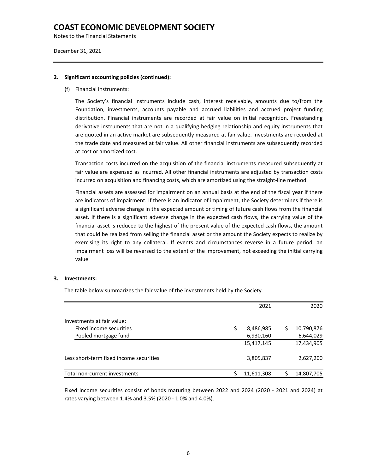Notes to the Financial Statements

December 31, 2021

#### **2. Significant accounting policies (continued):**

(f) Financial instruments:

The Society's financial instruments include cash, interest receivable, amounts due to/from the Foundation, investments, accounts payable and accrued liabilities and accrued project funding distribution. Financial instruments are recorded at fair value on initial recognition. Freestanding derivative instruments that are not in a qualifying hedging relationship and equity instruments that are quoted in an active market are subsequently measured at fair value. Investments are recorded at the trade date and measured at fair value. All other financial instruments are subsequently recorded at cost or amortized cost.

Transaction costs incurred on the acquisition of the financial instruments measured subsequently at fair value are expensed as incurred. All other financial instruments are adjusted by transaction costs incurred on acquisition and financing costs, which are amortized using the straight-line method.

Financial assets are assessed for impairment on an annual basis at the end of the fiscal year if there are indicators of impairment. If there is an indicator of impairment, the Society determines if there is a significant adverse change in the expected amount or timing of future cash flows from the financial asset. If there is a significant adverse change in the expected cash flows, the carrying value of the financial asset is reduced to the highest of the present value of the expected cash flows, the amount that could be realized from selling the financial asset or the amount the Society expects to realize by exercising its right to any collateral. If events and circumstances reverse in a future period, an impairment loss will be reversed to the extent of the improvement, not exceeding the initial carrying value.

#### **3. Investments:**

The table below summarizes the fair value of the investments held by the Society.

|                                         | 2021            |   | 2020       |
|-----------------------------------------|-----------------|---|------------|
| Investments at fair value:              |                 |   |            |
| Fixed income securities                 | \$<br>8,486,985 | S | 10,790,876 |
| Pooled mortgage fund                    | 6,930,160       |   | 6,644,029  |
|                                         | 15,417,145      |   | 17,434,905 |
| Less short-term fixed income securities | 3,805,837       |   | 2,627,200  |
| Total non-current investments           | 11,611,308      |   | 14,807,705 |

Fixed income securities consist of bonds maturing between 2022 and 2024 (2020 - 2021 and 2024) at rates varying between 1.4% and 3.5% (2020 - 1.0% and 4.0%).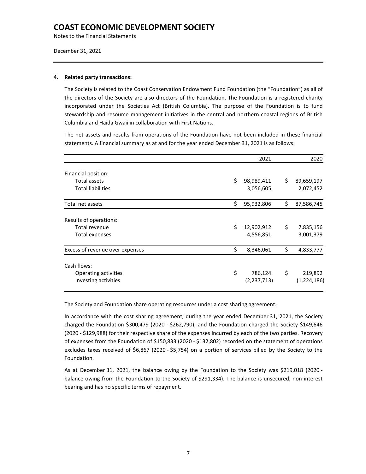Notes to the Financial Statements

December 31, 2021

#### **4. Related party transactions:**

The Society is related to the Coast Conservation Endowment Fund Foundation (the "Foundation") as all of the directors of the Society are also directors of the Foundation. The Foundation is a registered charity incorporated under the Societies Act (British Columbia). The purpose of the Foundation is to fund stewardship and resource management initiatives in the central and northern coastal regions of British Columbia and Haida Gwaii in collaboration with First Nations.

The net assets and results from operations of the Foundation have not been included in these financial statements. A financial summary as at and for the year ended December 31, 2021 is as follows:

|                                 | 2021             | 2020             |
|---------------------------------|------------------|------------------|
| Financial position:             |                  |                  |
| Total assets                    | \$<br>98,989,411 | \$<br>89,659,197 |
| <b>Total liabilities</b>        | 3,056,605        | 2,072,452        |
| Total net assets                | \$<br>95,932,806 | \$<br>87,586,745 |
| Results of operations:          |                  |                  |
| <b>Total revenue</b>            | \$<br>12,902,912 | \$<br>7,835,156  |
| Total expenses                  | 4,556,851        | 3,001,379        |
| Excess of revenue over expenses | \$<br>8,346,061  | \$<br>4,833,777  |
| Cash flows:                     |                  |                  |
| Operating activities            | \$<br>786,124    | \$<br>219,892    |
| Investing activities            | (2, 237, 713)    | (1,224,186)      |

The Society and Foundation share operating resources under a cost sharing agreement.

In accordance with the cost sharing agreement, during the year ended December 31, 2021, the Society charged the Foundation \$300,479 (2020 - \$262,790), and the Foundation charged the Society \$149,646 (2020 - \$129,988) for their respective share of the expenses incurred by each of the two parties. Recovery of expenses from the Foundation of \$150,833 (2020 - \$132,802) recorded on the statement of operations excludes taxes received of \$6,867 (2020 - \$5,754) on a portion of services billed by the Society to the Foundation.

As at December 31, 2021, the balance owing by the Foundation to the Society was \$219,018 (2020 balance owing from the Foundation to the Society of \$291,334). The balance is unsecured, non-interest bearing and has no specific terms of repayment.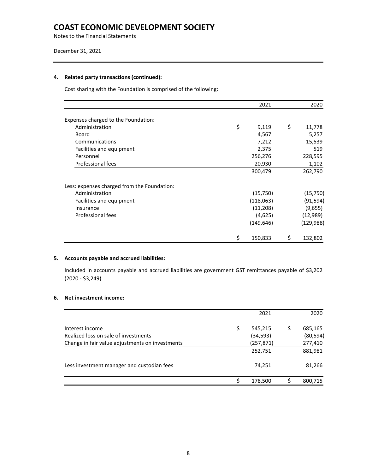Notes to the Financial Statements

#### December 31, 2021

#### **4. Related party transactions (continued):**

Cost sharing with the Foundation is comprised of the following:

|                                             | 2021          | 2020          |
|---------------------------------------------|---------------|---------------|
| Expenses charged to the Foundation:         |               |               |
| Administration                              | \$<br>9,119   | \$<br>11,778  |
| Board                                       | 4,567         | 5,257         |
| Communications                              | 7,212         | 15,539        |
| Facilities and equipment                    | 2,375         | 519           |
| Personnel                                   | 256,276       | 228,595       |
| Professional fees                           | 20,930        | 1,102         |
|                                             | 300,479       | 262,790       |
| Less: expenses charged from the Foundation: |               |               |
| Administration                              | (15,750)      | (15, 750)     |
| Facilities and equipment                    | (118,063)     | (91, 594)     |
| Insurance                                   | (11,208)      | (9,655)       |
| Professional fees                           | (4,625)       | (12,989)      |
|                                             | (149, 646)    | (129, 988)    |
|                                             | \$<br>150,833 | \$<br>132,802 |

#### **5. Accounts payable and accrued liabilities:**

Included in accounts payable and accrued liabilities are government GST remittances payable of \$3,202 (2020 - \$3,249).

### **6. Net investment income:**

|                                                 |   | 2021       | 2020      |
|-------------------------------------------------|---|------------|-----------|
| Interest income                                 | S | 545,215    | 685,165   |
| Realized loss on sale of investments            |   | (34, 593)  | (80, 594) |
| Change in fair value adjustments on investments |   | (257, 871) | 277,410   |
|                                                 |   | 252,751    | 881,981   |
| Less investment manager and custodian fees      |   | 74.251     | 81,266    |
|                                                 |   | 178,500    | 800,715   |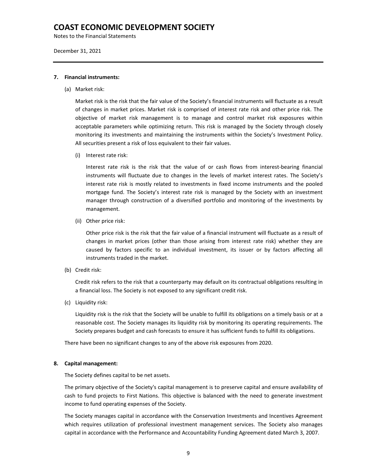Notes to the Financial Statements

December 31, 2021

#### **7. Financial instruments:**

(a) Market risk:

Market risk is the risk that the fair value of the Society's financial instruments will fluctuate as a result of changes in market prices. Market risk is comprised of interest rate risk and other price risk. The objective of market risk management is to manage and control market risk exposures within acceptable parameters while optimizing return. This risk is managed by the Society through closely monitoring its investments and maintaining the instruments within the Society's Investment Policy. All securities present a risk of loss equivalent to their fair values.

(i) Interest rate risk:

Interest rate risk is the risk that the value of or cash flows from interest-bearing financial instruments will fluctuate due to changes in the levels of market interest rates. The Society's interest rate risk is mostly related to investments in fixed income instruments and the pooled mortgage fund. The Society's interest rate risk is managed by the Society with an investment manager through construction of a diversified portfolio and monitoring of the investments by management.

(ii) Other price risk:

Other price risk is the risk that the fair value of a financial instrument will fluctuate as a result of changes in market prices (other than those arising from interest rate risk) whether they are caused by factors specific to an individual investment, its issuer or by factors affecting all instruments traded in the market.

(b) Credit risk:

Credit risk refers to the risk that a counterparty may default on its contractual obligations resulting in a financial loss. The Society is not exposed to any significant credit risk.

(c) Liquidity risk:

Liquidity risk is the risk that the Society will be unable to fulfill its obligations on a timely basis or at a reasonable cost. The Society manages its liquidity risk by monitoring its operating requirements. The Society prepares budget and cash forecasts to ensure it has sufficient funds to fulfill its obligations.

There have been no significant changes to any of the above risk exposures from 2020.

#### **8. Capital management:**

The Society defines capital to be net assets.

The primary objective of the Society's capital management is to preserve capital and ensure availability of cash to fund projects to First Nations. This objective is balanced with the need to generate investment income to fund operating expenses of the Society.

The Society manages capital in accordance with the Conservation Investments and Incentives Agreement which requires utilization of professional investment management services. The Society also manages capital in accordance with the Performance and Accountability Funding Agreement dated March 3, 2007.